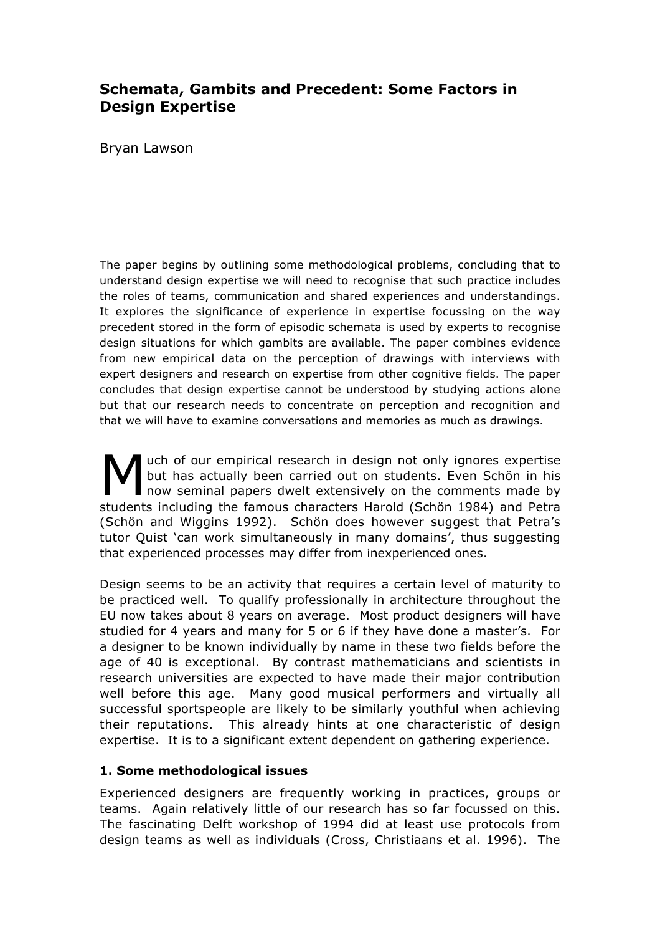# **Schemata, Gambits and Precedent: Some Factors in Design Expertise**

Bryan Lawson

The paper begins by outlining some methodological problems, concluding that to understand design expertise we will need to recognise that such practice includes the roles of teams, communication and shared experiences and understandings. It explores the significance of experience in expertise focussing on the way precedent stored in the form of episodic schemata is used by experts to recognise design situations for which gambits are available. The paper combines evidence from new empirical data on the perception of drawings with interviews with expert designers and research on expertise from other cognitive fields. The paper concludes that design expertise cannot be understood by studying actions alone but that our research needs to concentrate on perception and recognition and that we will have to examine conversations and memories as much as drawings.

uch of our empirical research in design not only ignores expertise but has actually been carried out on students. Even Schön in his now seminal papers dwelt extensively on the comments made by students including the famous characters Harold (Schön 1984) and Petra (Schön and Wiggins 1992). Schön does however suggest that Petra's tutor Quist 'can work simultaneously in many domains', thus suggesting that experienced processes may differ from inexperienced ones. M

Design seems to be an activity that requires a certain level of maturity to be practiced well. To qualify professionally in architecture throughout the EU now takes about 8 years on average. Most product designers will have studied for 4 years and many for 5 or 6 if they have done a master's. For a designer to be known individually by name in these two fields before the age of 40 is exceptional. By contrast mathematicians and scientists in research universities are expected to have made their major contribution well before this age. Many good musical performers and virtually all successful sportspeople are likely to be similarly youthful when achieving their reputations. This already hints at one characteristic of design expertise. It is to a significant extent dependent on gathering experience.

#### **1. Some methodological issues**

Experienced designers are frequently working in practices, groups or teams. Again relatively little of our research has so far focussed on this. The fascinating Delft workshop of 1994 did at least use protocols from design teams as well as individuals (Cross, Christiaans et al. 1996). The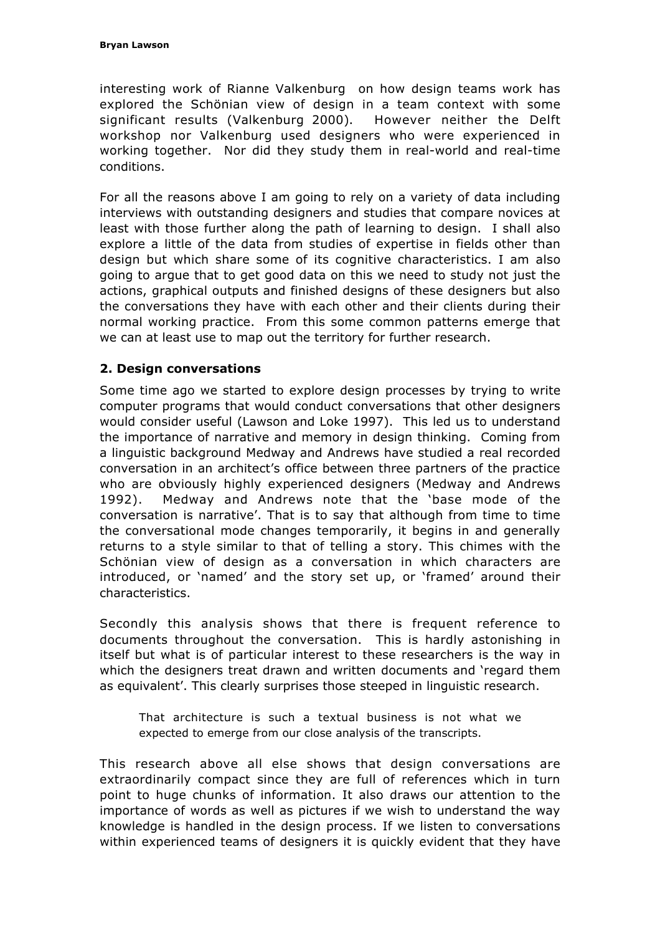interesting work of Rianne Valkenburg on how design teams work has explored the Schönian view of design in a team context with some significant results (Valkenburg 2000). However neither the Delft workshop nor Valkenburg used designers who were experienced in working together. Nor did they study them in real-world and real-time conditions.

For all the reasons above I am going to rely on a variety of data including interviews with outstanding designers and studies that compare novices at least with those further along the path of learning to design. I shall also explore a little of the data from studies of expertise in fields other than design but which share some of its cognitive characteristics. I am also going to argue that to get good data on this we need to study not just the actions, graphical outputs and finished designs of these designers but also the conversations they have with each other and their clients during their normal working practice. From this some common patterns emerge that we can at least use to map out the territory for further research.

### **2. Design conversations**

Some time ago we started to explore design processes by trying to write computer programs that would conduct conversations that other designers would consider useful (Lawson and Loke 1997). This led us to understand the importance of narrative and memory in design thinking. Coming from a linguistic background Medway and Andrews have studied a real recorded conversation in an architect's office between three partners of the practice who are obviously highly experienced designers (Medway and Andrews 1992). Medway and Andrews note that the 'base mode of the conversation is narrative'. That is to say that although from time to time the conversational mode changes temporarily, it begins in and generally returns to a style similar to that of telling a story. This chimes with the Schönian view of design as a conversation in which characters are introduced, or 'named' and the story set up, or 'framed' around their characteristics.

Secondly this analysis shows that there is frequent reference to documents throughout the conversation. This is hardly astonishing in itself but what is of particular interest to these researchers is the way in which the designers treat drawn and written documents and 'regard them as equivalent'. This clearly surprises those steeped in linguistic research.

That architecture is such a textual business is not what we expected to emerge from our close analysis of the transcripts.

This research above all else shows that design conversations are extraordinarily compact since they are full of references which in turn point to huge chunks of information. It also draws our attention to the importance of words as well as pictures if we wish to understand the way knowledge is handled in the design process. If we listen to conversations within experienced teams of designers it is quickly evident that they have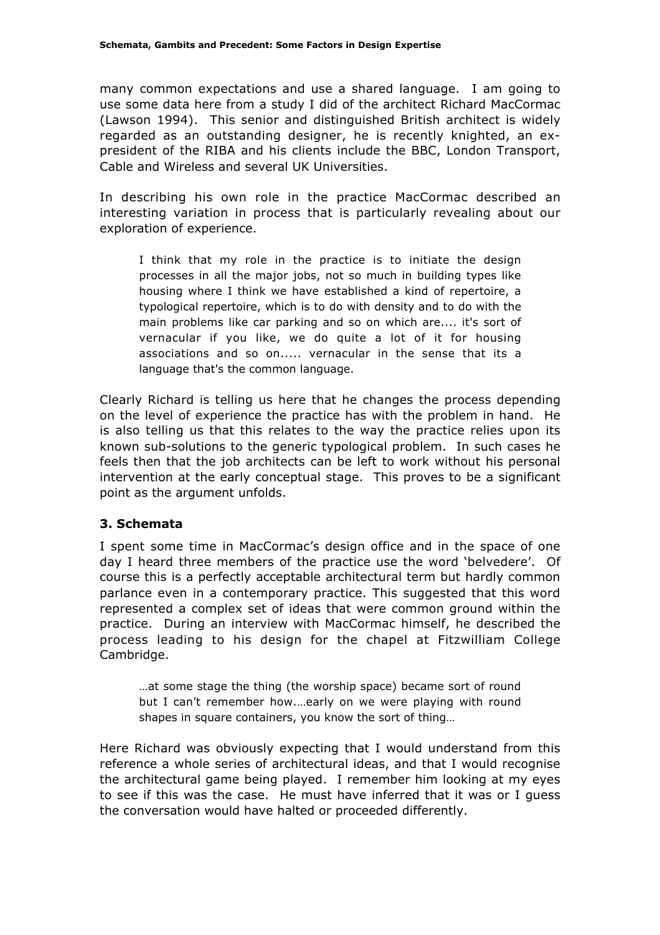many common expectations and use a shared language. I am going to use some data here from a study I did of the architect Richard MacCormac (Lawson 1994). This senior and distinguished British architect is widely regarded as an outstanding designer, he is recently knighted, an expresident of the RIBA and his clients include the BBC, London Transport, Cable and Wireless and several UK Universities.

In describing his own role in the practice MacCormac described an interesting variation in process that is particularly revealing about our exploration of experience.

I think that my role in the practice is to initiate the design processes in all the major jobs, not so much in building types like housing where I think we have established a kind of repertoire, a typological repertoire, which is to do with density and to do with the main problems like car parking and so on which are.... it's sort of vernacular if you like, we do quite a lot of it for housing associations and so on..... vernacular in the sense that its a language that's the common language.

Clearly Richard is telling us here that he changes the process depending on the level of experience the practice has with the problem in hand. He is also telling us that this relates to the way the practice relies upon its known sub-solutions to the generic typological problem. In such cases he feels then that the job architects can be left to work without his personal intervention at the early conceptual stage. This proves to be a significant point as the argument unfolds.

## **3. Schemata**

I spent some time in MacCormac's design office and in the space of one day I heard three members of the practice use the word 'belvedere'. Of course this is a perfectly acceptable architectural term but hardly common parlance even in a contemporary practice. This suggested that this word represented a complex set of ideas that were common ground within the practice. During an interview with MacCormac himself, he described the process leading to his design for the chapel at Fitzwilliam College Cambridge.

…at some stage the thing (the worship space) became sort of round but I can't remember how.…early on we were playing with round shapes in square containers, you know the sort of thing…

Here Richard was obviously expecting that I would understand from this reference a whole series of architectural ideas, and that I would recognise the architectural game being played. I remember him looking at my eyes to see if this was the case. He must have inferred that it was or I guess the conversation would have halted or proceeded differently.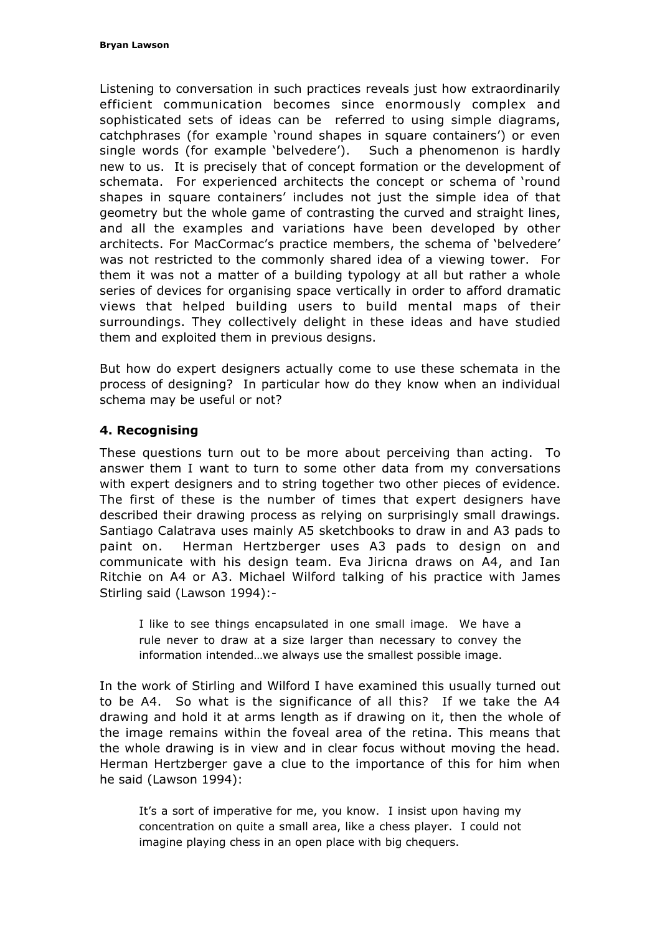Listening to conversation in such practices reveals just how extraordinarily efficient communication becomes since enormously complex and sophisticated sets of ideas can be referred to using simple diagrams, catchphrases (for example 'round shapes in square containers') or even single words (for example 'belvedere'). Such a phenomenon is hardly new to us. It is precisely that of concept formation or the development of schemata. For experienced architects the concept or schema of 'round shapes in square containers' includes not just the simple idea of that geometry but the whole game of contrasting the curved and straight lines, and all the examples and variations have been developed by other architects. For MacCormac's practice members, the schema of 'belvedere' was not restricted to the commonly shared idea of a viewing tower. For them it was not a matter of a building typology at all but rather a whole series of devices for organising space vertically in order to afford dramatic views that helped building users to build mental maps of their surroundings. They collectively delight in these ideas and have studied them and exploited them in previous designs.

But how do expert designers actually come to use these schemata in the process of designing? In particular how do they know when an individual schema may be useful or not?

### **4. Recognising**

These questions turn out to be more about perceiving than acting. To answer them I want to turn to some other data from my conversations with expert designers and to string together two other pieces of evidence. The first of these is the number of times that expert designers have described their drawing process as relying on surprisingly small drawings. Santiago Calatrava uses mainly A5 sketchbooks to draw in and A3 pads to paint on. Herman Hertzberger uses A3 pads to design on and communicate with his design team. Eva Jiricna draws on A4, and Ian Ritchie on A4 or A3. Michael Wilford talking of his practice with James Stirling said (Lawson 1994):-

I like to see things encapsulated in one small image. We have a rule never to draw at a size larger than necessary to convey the information intended…we always use the smallest possible image.

In the work of Stirling and Wilford I have examined this usually turned out to be A4. So what is the significance of all this? If we take the A4 drawing and hold it at arms length as if drawing on it, then the whole of the image remains within the foveal area of the retina. This means that the whole drawing is in view and in clear focus without moving the head. Herman Hertzberger gave a clue to the importance of this for him when he said (Lawson 1994):

It's a sort of imperative for me, you know. I insist upon having my concentration on quite a small area, like a chess player. I could not imagine playing chess in an open place with big chequers.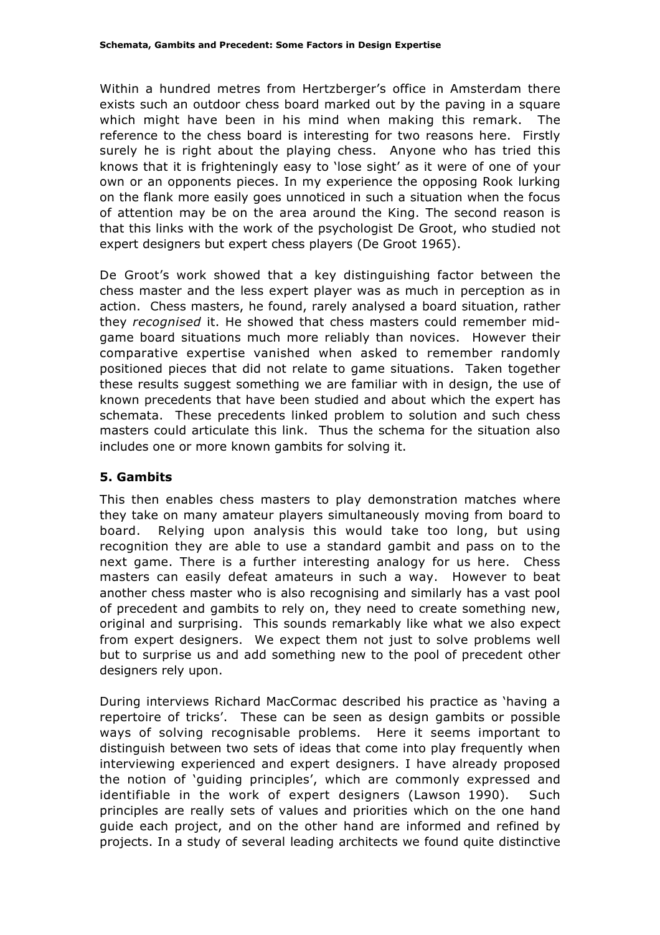Within a hundred metres from Hertzberger's office in Amsterdam there exists such an outdoor chess board marked out by the paving in a square which might have been in his mind when making this remark. The reference to the chess board is interesting for two reasons here. Firstly surely he is right about the playing chess. Anyone who has tried this knows that it is frighteningly easy to 'lose sight' as it were of one of your own or an opponents pieces. In my experience the opposing Rook lurking on the flank more easily goes unnoticed in such a situation when the focus of attention may be on the area around the King. The second reason is that this links with the work of the psychologist De Groot, who studied not expert designers but expert chess players (De Groot 1965).

De Groot's work showed that a key distinguishing factor between the chess master and the less expert player was as much in perception as in action. Chess masters, he found, rarely analysed a board situation, rather they *recognised* it. He showed that chess masters could remember midgame board situations much more reliably than novices. However their comparative expertise vanished when asked to remember randomly positioned pieces that did not relate to game situations. Taken together these results suggest something we are familiar with in design, the use of known precedents that have been studied and about which the expert has schemata. These precedents linked problem to solution and such chess masters could articulate this link. Thus the schema for the situation also includes one or more known gambits for solving it.

## **5. Gambits**

This then enables chess masters to play demonstration matches where they take on many amateur players simultaneously moving from board to board. Relying upon analysis this would take too long, but using recognition they are able to use a standard gambit and pass on to the next game. There is a further interesting analogy for us here. Chess masters can easily defeat amateurs in such a way. However to beat another chess master who is also recognising and similarly has a vast pool of precedent and gambits to rely on, they need to create something new, original and surprising. This sounds remarkably like what we also expect from expert designers. We expect them not just to solve problems well but to surprise us and add something new to the pool of precedent other designers rely upon.

During interviews Richard MacCormac described his practice as 'having a repertoire of tricks'. These can be seen as design gambits or possible ways of solving recognisable problems. Here it seems important to distinguish between two sets of ideas that come into play frequently when interviewing experienced and expert designers. I have already proposed the notion of 'guiding principles', which are commonly expressed and identifiable in the work of expert designers (Lawson 1990). Such principles are really sets of values and priorities which on the one hand guide each project, and on the other hand are informed and refined by projects. In a study of several leading architects we found quite distinctive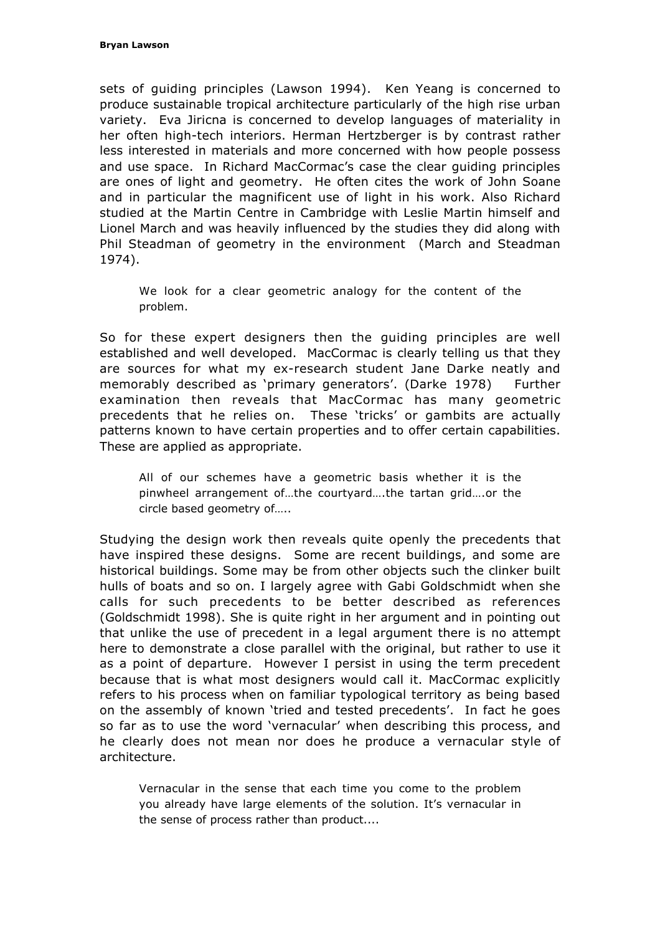sets of guiding principles (Lawson 1994). Ken Yeang is concerned to produce sustainable tropical architecture particularly of the high rise urban variety. Eva Jiricna is concerned to develop languages of materiality in her often high-tech interiors. Herman Hertzberger is by contrast rather less interested in materials and more concerned with how people possess and use space. In Richard MacCormac's case the clear guiding principles are ones of light and geometry. He often cites the work of John Soane and in particular the magnificent use of light in his work. Also Richard studied at the Martin Centre in Cambridge with Leslie Martin himself and Lionel March and was heavily influenced by the studies they did along with Phil Steadman of geometry in the environment (March and Steadman 1974).

We look for a clear geometric analogy for the content of the problem.

So for these expert designers then the guiding principles are well established and well developed. MacCormac is clearly telling us that they are sources for what my ex-research student Jane Darke neatly and memorably described as 'primary generators'. (Darke 1978) Further examination then reveals that MacCormac has many geometric precedents that he relies on. These 'tricks' or gambits are actually patterns known to have certain properties and to offer certain capabilities. These are applied as appropriate.

All of our schemes have a geometric basis whether it is the pinwheel arrangement of…the courtyard….the tartan grid….or the circle based geometry of…..

Studying the design work then reveals quite openly the precedents that have inspired these designs. Some are recent buildings, and some are historical buildings. Some may be from other objects such the clinker built hulls of boats and so on. I largely agree with Gabi Goldschmidt when she calls for such precedents to be better described as references (Goldschmidt 1998). She is quite right in her argument and in pointing out that unlike the use of precedent in a legal argument there is no attempt here to demonstrate a close parallel with the original, but rather to use it as a point of departure. However I persist in using the term precedent because that is what most designers would call it. MacCormac explicitly refers to his process when on familiar typological territory as being based on the assembly of known 'tried and tested precedents'. In fact he goes so far as to use the word 'vernacular' when describing this process, and he clearly does not mean nor does he produce a vernacular style of architecture.

Vernacular in the sense that each time you come to the problem you already have large elements of the solution. It's vernacular in the sense of process rather than product....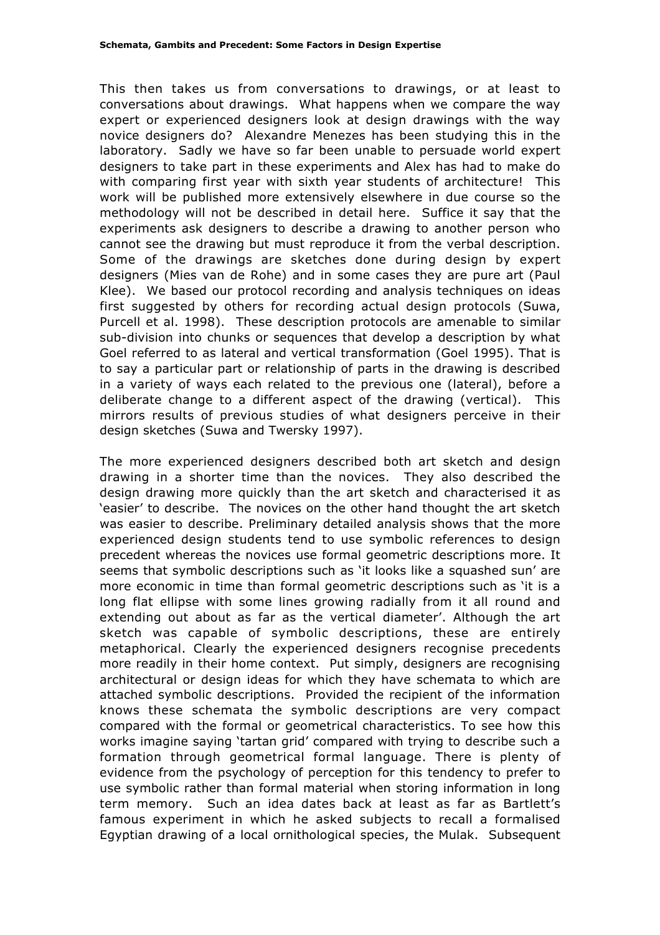This then takes us from conversations to drawings, or at least to conversations about drawings. What happens when we compare the way expert or experienced designers look at design drawings with the way novice designers do? Alexandre Menezes has been studying this in the laboratory. Sadly we have so far been unable to persuade world expert designers to take part in these experiments and Alex has had to make do with comparing first year with sixth year students of architecture! This work will be published more extensively elsewhere in due course so the methodology will not be described in detail here. Suffice it say that the experiments ask designers to describe a drawing to another person who cannot see the drawing but must reproduce it from the verbal description. Some of the drawings are sketches done during design by expert designers (Mies van de Rohe) and in some cases they are pure art (Paul Klee). We based our protocol recording and analysis techniques on ideas first suggested by others for recording actual design protocols (Suwa, Purcell et al. 1998). These description protocols are amenable to similar sub-division into chunks or sequences that develop a description by what Goel referred to as lateral and vertical transformation (Goel 1995). That is to say a particular part or relationship of parts in the drawing is described in a variety of ways each related to the previous one (lateral), before a deliberate change to a different aspect of the drawing (vertical). This mirrors results of previous studies of what designers perceive in their design sketches (Suwa and Twersky 1997).

The more experienced designers described both art sketch and design drawing in a shorter time than the novices. They also described the design drawing more quickly than the art sketch and characterised it as 'easier' to describe. The novices on the other hand thought the art sketch was easier to describe. Preliminary detailed analysis shows that the more experienced design students tend to use symbolic references to design precedent whereas the novices use formal geometric descriptions more. It seems that symbolic descriptions such as 'it looks like a squashed sun' are more economic in time than formal geometric descriptions such as 'it is a long flat ellipse with some lines growing radially from it all round and extending out about as far as the vertical diameter'. Although the art sketch was capable of symbolic descriptions, these are entirely metaphorical. Clearly the experienced designers recognise precedents more readily in their home context. Put simply, designers are recognising architectural or design ideas for which they have schemata to which are attached symbolic descriptions. Provided the recipient of the information knows these schemata the symbolic descriptions are very compact compared with the formal or geometrical characteristics. To see how this works imagine saying 'tartan grid' compared with trying to describe such a formation through geometrical formal language. There is plenty of evidence from the psychology of perception for this tendency to prefer to use symbolic rather than formal material when storing information in long term memory. Such an idea dates back at least as far as Bartlett's famous experiment in which he asked subjects to recall a formalised Egyptian drawing of a local ornithological species, the Mulak. Subsequent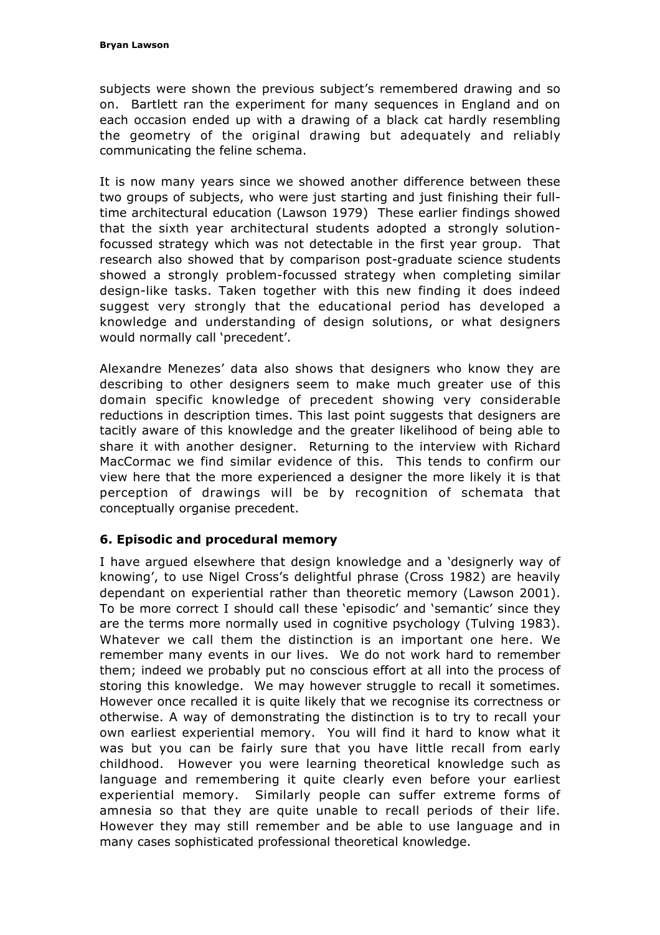subjects were shown the previous subject's remembered drawing and so on. Bartlett ran the experiment for many sequences in England and on each occasion ended up with a drawing of a black cat hardly resembling the geometry of the original drawing but adequately and reliably communicating the feline schema.

It is now many years since we showed another difference between these two groups of subjects, who were just starting and just finishing their fulltime architectural education (Lawson 1979) These earlier findings showed that the sixth year architectural students adopted a strongly solutionfocussed strategy which was not detectable in the first year group. That research also showed that by comparison post-graduate science students showed a strongly problem-focussed strategy when completing similar design-like tasks. Taken together with this new finding it does indeed suggest very strongly that the educational period has developed a knowledge and understanding of design solutions, or what designers would normally call 'precedent'.

Alexandre Menezes' data also shows that designers who know they are describing to other designers seem to make much greater use of this domain specific knowledge of precedent showing very considerable reductions in description times. This last point suggests that designers are tacitly aware of this knowledge and the greater likelihood of being able to share it with another designer. Returning to the interview with Richard MacCormac we find similar evidence of this. This tends to confirm our view here that the more experienced a designer the more likely it is that perception of drawings will be by recognition of schemata that conceptually organise precedent.

#### **6. Episodic and procedural memory**

I have argued elsewhere that design knowledge and a 'designerly way of knowing', to use Nigel Cross's delightful phrase (Cross 1982) are heavily dependant on experiential rather than theoretic memory (Lawson 2001). To be more correct I should call these 'episodic' and 'semantic' since they are the terms more normally used in cognitive psychology (Tulving 1983). Whatever we call them the distinction is an important one here. We remember many events in our lives. We do not work hard to remember them; indeed we probably put no conscious effort at all into the process of storing this knowledge. We may however struggle to recall it sometimes. However once recalled it is quite likely that we recognise its correctness or otherwise. A way of demonstrating the distinction is to try to recall your own earliest experiential memory. You will find it hard to know what it was but you can be fairly sure that you have little recall from early childhood. However you were learning theoretical knowledge such as language and remembering it quite clearly even before your earliest experiential memory. Similarly people can suffer extreme forms of amnesia so that they are quite unable to recall periods of their life. However they may still remember and be able to use language and in many cases sophisticated professional theoretical knowledge.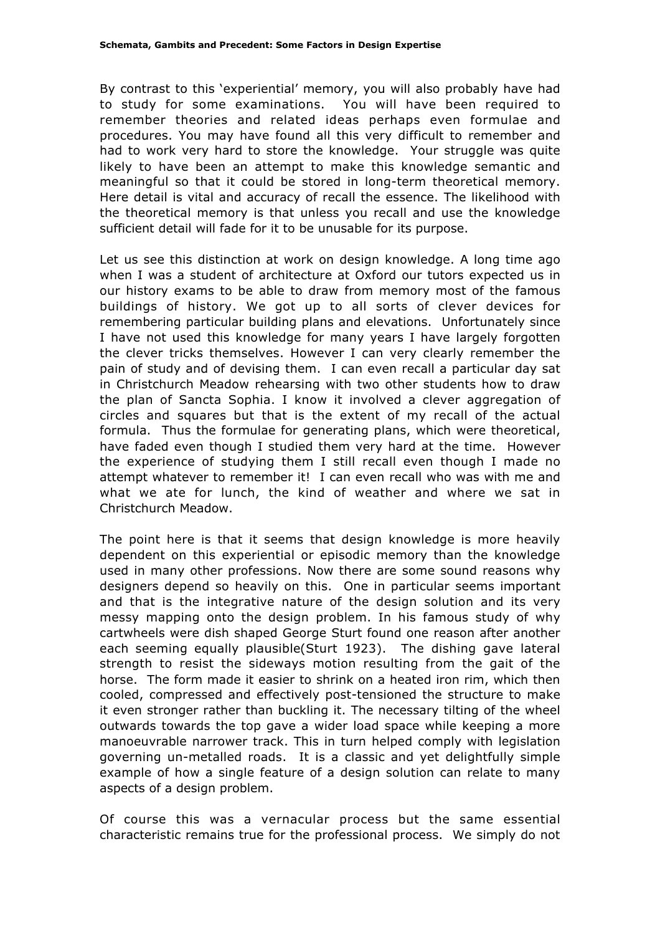By contrast to this 'experiential' memory, you will also probably have had to study for some examinations. You will have been required to remember theories and related ideas perhaps even formulae and procedures. You may have found all this very difficult to remember and had to work very hard to store the knowledge. Your struggle was quite likely to have been an attempt to make this knowledge semantic and meaningful so that it could be stored in long-term theoretical memory. Here detail is vital and accuracy of recall the essence. The likelihood with the theoretical memory is that unless you recall and use the knowledge sufficient detail will fade for it to be unusable for its purpose.

Let us see this distinction at work on design knowledge. A long time ago when I was a student of architecture at Oxford our tutors expected us in our history exams to be able to draw from memory most of the famous buildings of history. We got up to all sorts of clever devices for remembering particular building plans and elevations. Unfortunately since I have not used this knowledge for many years I have largely forgotten the clever tricks themselves. However I can very clearly remember the pain of study and of devising them. I can even recall a particular day sat in Christchurch Meadow rehearsing with two other students how to draw the plan of Sancta Sophia. I know it involved a clever aggregation of circles and squares but that is the extent of my recall of the actual formula. Thus the formulae for generating plans, which were theoretical, have faded even though I studied them very hard at the time. However the experience of studying them I still recall even though I made no attempt whatever to remember it! I can even recall who was with me and what we ate for lunch, the kind of weather and where we sat in Christchurch Meadow.

The point here is that it seems that design knowledge is more heavily dependent on this experiential or episodic memory than the knowledge used in many other professions. Now there are some sound reasons why designers depend so heavily on this. One in particular seems important and that is the integrative nature of the design solution and its very messy mapping onto the design problem. In his famous study of why cartwheels were dish shaped George Sturt found one reason after another each seeming equally plausible(Sturt 1923). The dishing gave lateral strength to resist the sideways motion resulting from the gait of the horse. The form made it easier to shrink on a heated iron rim, which then cooled, compressed and effectively post-tensioned the structure to make it even stronger rather than buckling it. The necessary tilting of the wheel outwards towards the top gave a wider load space while keeping a more manoeuvrable narrower track. This in turn helped comply with legislation governing un-metalled roads. It is a classic and yet delightfully simple example of how a single feature of a design solution can relate to many aspects of a design problem.

Of course this was a vernacular process but the same essential characteristic remains true for the professional process. We simply do not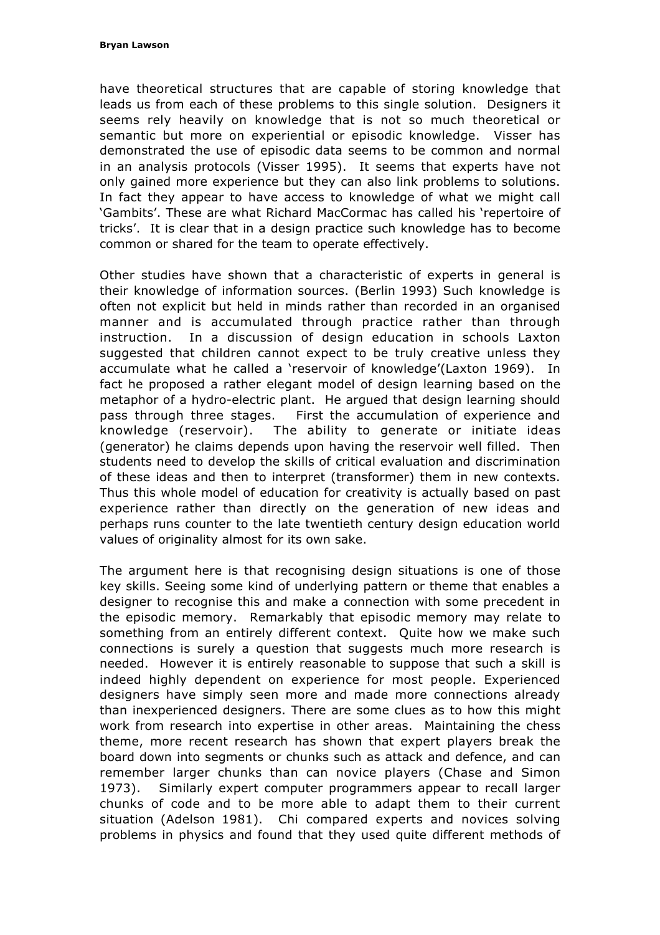have theoretical structures that are capable of storing knowledge that leads us from each of these problems to this single solution. Designers it seems rely heavily on knowledge that is not so much theoretical or semantic but more on experiential or episodic knowledge. Visser has demonstrated the use of episodic data seems to be common and normal in an analysis protocols (Visser 1995). It seems that experts have not only gained more experience but they can also link problems to solutions. In fact they appear to have access to knowledge of what we might call 'Gambits'. These are what Richard MacCormac has called his 'repertoire of tricks'. It is clear that in a design practice such knowledge has to become common or shared for the team to operate effectively.

Other studies have shown that a characteristic of experts in general is their knowledge of information sources. (Berlin 1993) Such knowledge is often not explicit but held in minds rather than recorded in an organised manner and is accumulated through practice rather than through instruction. In a discussion of design education in schools Laxton suggested that children cannot expect to be truly creative unless they accumulate what he called a 'reservoir of knowledge'(Laxton 1969). In fact he proposed a rather elegant model of design learning based on the metaphor of a hydro-electric plant. He argued that design learning should pass through three stages. First the accumulation of experience and knowledge (reservoir). The ability to generate or initiate ideas (generator) he claims depends upon having the reservoir well filled. Then students need to develop the skills of critical evaluation and discrimination of these ideas and then to interpret (transformer) them in new contexts. Thus this whole model of education for creativity is actually based on past experience rather than directly on the generation of new ideas and perhaps runs counter to the late twentieth century design education world values of originality almost for its own sake.

The argument here is that recognising design situations is one of those key skills. Seeing some kind of underlying pattern or theme that enables a designer to recognise this and make a connection with some precedent in the episodic memory. Remarkably that episodic memory may relate to something from an entirely different context. Quite how we make such connections is surely a question that suggests much more research is needed. However it is entirely reasonable to suppose that such a skill is indeed highly dependent on experience for most people. Experienced designers have simply seen more and made more connections already than inexperienced designers. There are some clues as to how this might work from research into expertise in other areas. Maintaining the chess theme, more recent research has shown that expert players break the board down into segments or chunks such as attack and defence, and can remember larger chunks than can novice players (Chase and Simon 1973). Similarly expert computer programmers appear to recall larger chunks of code and to be more able to adapt them to their current situation (Adelson 1981). Chi compared experts and novices solving problems in physics and found that they used quite different methods of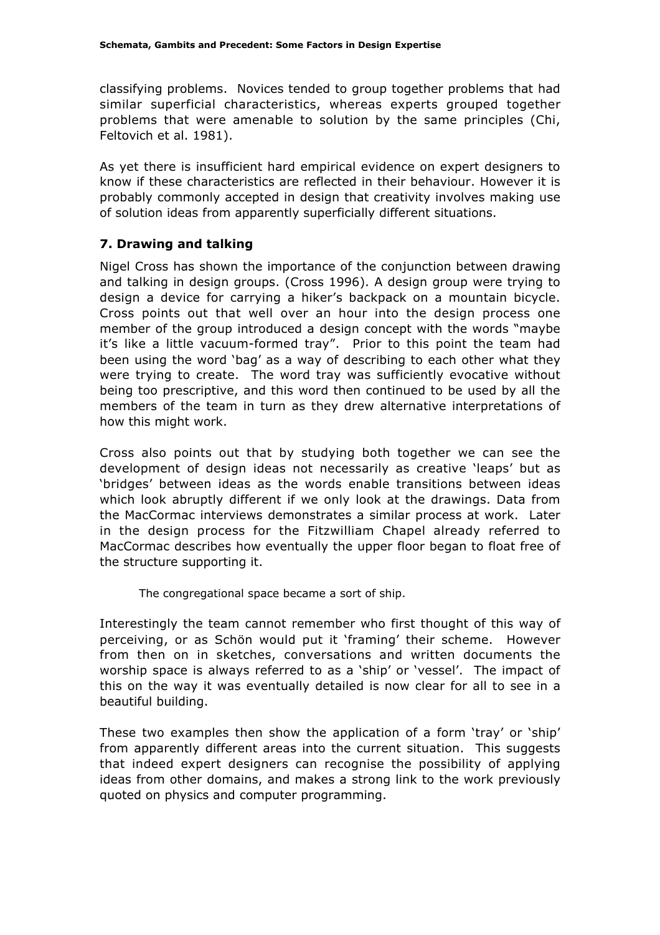classifying problems. Novices tended to group together problems that had similar superficial characteristics, whereas experts grouped together problems that were amenable to solution by the same principles (Chi, Feltovich et al. 1981).

As yet there is insufficient hard empirical evidence on expert designers to know if these characteristics are reflected in their behaviour. However it is probably commonly accepted in design that creativity involves making use of solution ideas from apparently superficially different situations.

# **7. Drawing and talking**

Nigel Cross has shown the importance of the conjunction between drawing and talking in design groups. (Cross 1996). A design group were trying to design a device for carrying a hiker's backpack on a mountain bicycle. Cross points out that well over an hour into the design process one member of the group introduced a design concept with the words "maybe it's like a little vacuum-formed tray". Prior to this point the team had been using the word 'bag' as a way of describing to each other what they were trying to create. The word tray was sufficiently evocative without being too prescriptive, and this word then continued to be used by all the members of the team in turn as they drew alternative interpretations of how this might work.

Cross also points out that by studying both together we can see the development of design ideas not necessarily as creative 'leaps' but as 'bridges' between ideas as the words enable transitions between ideas which look abruptly different if we only look at the drawings. Data from the MacCormac interviews demonstrates a similar process at work. Later in the design process for the Fitzwilliam Chapel already referred to MacCormac describes how eventually the upper floor began to float free of the structure supporting it.

The congregational space became a sort of ship.

Interestingly the team cannot remember who first thought of this way of perceiving, or as Schön would put it 'framing' their scheme. However from then on in sketches, conversations and written documents the worship space is always referred to as a 'ship' or 'vessel'. The impact of this on the way it was eventually detailed is now clear for all to see in a beautiful building.

These two examples then show the application of a form 'tray' or 'ship' from apparently different areas into the current situation. This suggests that indeed expert designers can recognise the possibility of applying ideas from other domains, and makes a strong link to the work previously quoted on physics and computer programming.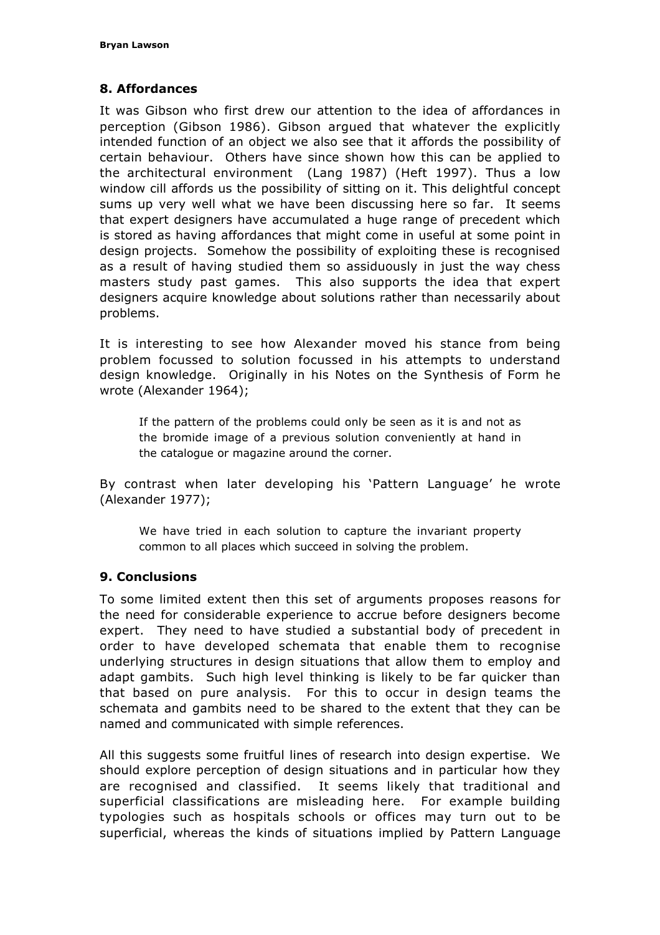## **8. Affordances**

It was Gibson who first drew our attention to the idea of affordances in perception (Gibson 1986). Gibson argued that whatever the explicitly intended function of an object we also see that it affords the possibility of certain behaviour. Others have since shown how this can be applied to the architectural environment (Lang 1987) (Heft 1997). Thus a low window cill affords us the possibility of sitting on it. This delightful concept sums up very well what we have been discussing here so far. It seems that expert designers have accumulated a huge range of precedent which is stored as having affordances that might come in useful at some point in design projects. Somehow the possibility of exploiting these is recognised as a result of having studied them so assiduously in just the way chess masters study past games. This also supports the idea that expert designers acquire knowledge about solutions rather than necessarily about problems.

It is interesting to see how Alexander moved his stance from being problem focussed to solution focussed in his attempts to understand design knowledge. Originally in his Notes on the Synthesis of Form he wrote (Alexander 1964);

If the pattern of the problems could only be seen as it is and not as the bromide image of a previous solution conveniently at hand in the catalogue or magazine around the corner.

By contrast when later developing his 'Pattern Language' he wrote (Alexander 1977);

We have tried in each solution to capture the invariant property common to all places which succeed in solving the problem.

## **9. Conclusions**

To some limited extent then this set of arguments proposes reasons for the need for considerable experience to accrue before designers become expert. They need to have studied a substantial body of precedent in order to have developed schemata that enable them to recognise underlying structures in design situations that allow them to employ and adapt gambits. Such high level thinking is likely to be far quicker than that based on pure analysis. For this to occur in design teams the schemata and gambits need to be shared to the extent that they can be named and communicated with simple references.

All this suggests some fruitful lines of research into design expertise. We should explore perception of design situations and in particular how they are recognised and classified. It seems likely that traditional and superficial classifications are misleading here. For example building typologies such as hospitals schools or offices may turn out to be superficial, whereas the kinds of situations implied by Pattern Language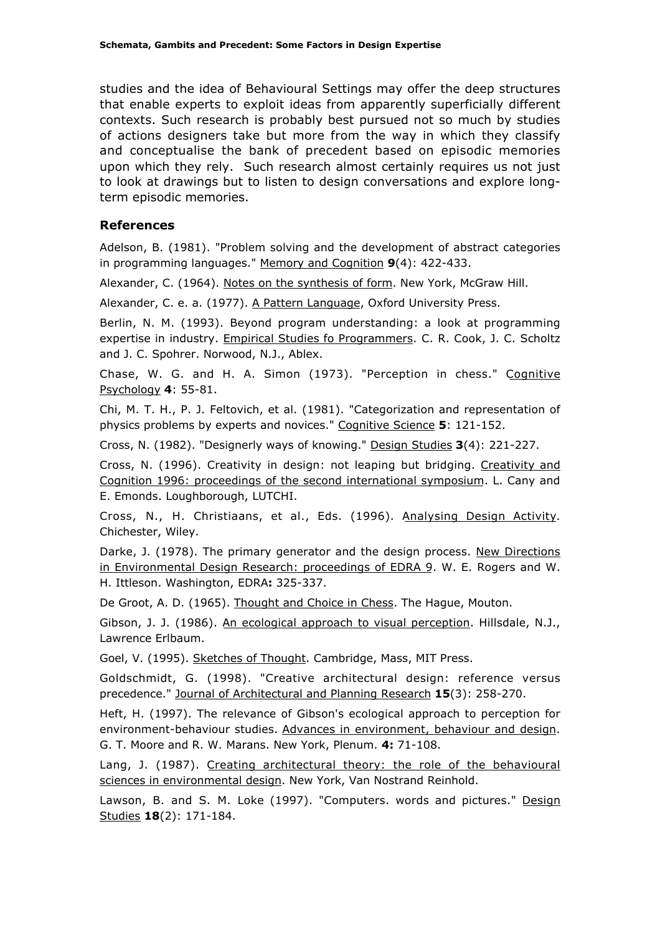studies and the idea of Behavioural Settings may offer the deep structures that enable experts to exploit ideas from apparently superficially different contexts. Such research is probably best pursued not so much by studies of actions designers take but more from the way in which they classify and conceptualise the bank of precedent based on episodic memories upon which they rely. Such research almost certainly requires us not just to look at drawings but to listen to design conversations and explore longterm episodic memories.

#### **References**

Adelson, B. (1981). "Problem solving and the development of abstract categories in programming languages." Memory and Cognition **9**(4): 422-433.

Alexander, C. (1964). Notes on the synthesis of form. New York, McGraw Hill.

Alexander, C. e. a. (1977). A Pattern Language, Oxford University Press.

Berlin, N. M. (1993). Beyond program understanding: a look at programming expertise in industry. Empirical Studies fo Programmers. C. R. Cook, J. C. Scholtz and J. C. Spohrer. Norwood, N.J., Ablex.

Chase, W. G. and H. A. Simon (1973). "Perception in chess." Cognitive Psychology **4**: 55-81.

Chi, M. T. H., P. J. Feltovich, et al. (1981). "Categorization and representation of physics problems by experts and novices." Cognitive Science **5**: 121-152.

Cross, N. (1982). "Designerly ways of knowing." Design Studies **3**(4): 221-227.

Cross, N. (1996). Creativity in design: not leaping but bridging. Creativity and Cognition 1996: proceedings of the second international symposium. L. Cany and E. Emonds. Loughborough, LUTCHI.

Cross, N., H. Christiaans, et al., Eds. (1996). Analysing Design Activity. Chichester, Wiley.

Darke, J. (1978). The primary generator and the design process. New Directions in Environmental Design Research: proceedings of EDRA 9. W. E. Rogers and W. H. Ittleson. Washington, EDRA**:** 325-337.

De Groot, A. D. (1965). Thought and Choice in Chess. The Hague, Mouton.

Gibson, J. J. (1986). An ecological approach to visual perception. Hillsdale, N.J., Lawrence Erlbaum.

Goel, V. (1995). Sketches of Thought. Cambridge, Mass, MIT Press.

Goldschmidt, G. (1998). "Creative architectural design: reference versus precedence." Journal of Architectural and Planning Research **15**(3): 258-270.

Heft, H. (1997). The relevance of Gibson's ecological approach to perception for environment-behaviour studies. Advances in environment, behaviour and design. G. T. Moore and R. W. Marans. New York, Plenum. **4:** 71-108.

Lang, J. (1987). Creating architectural theory: the role of the behavioural sciences in environmental design. New York, Van Nostrand Reinhold.

Lawson, B. and S. M. Loke (1997). "Computers. words and pictures." Design Studies **18**(2): 171-184.